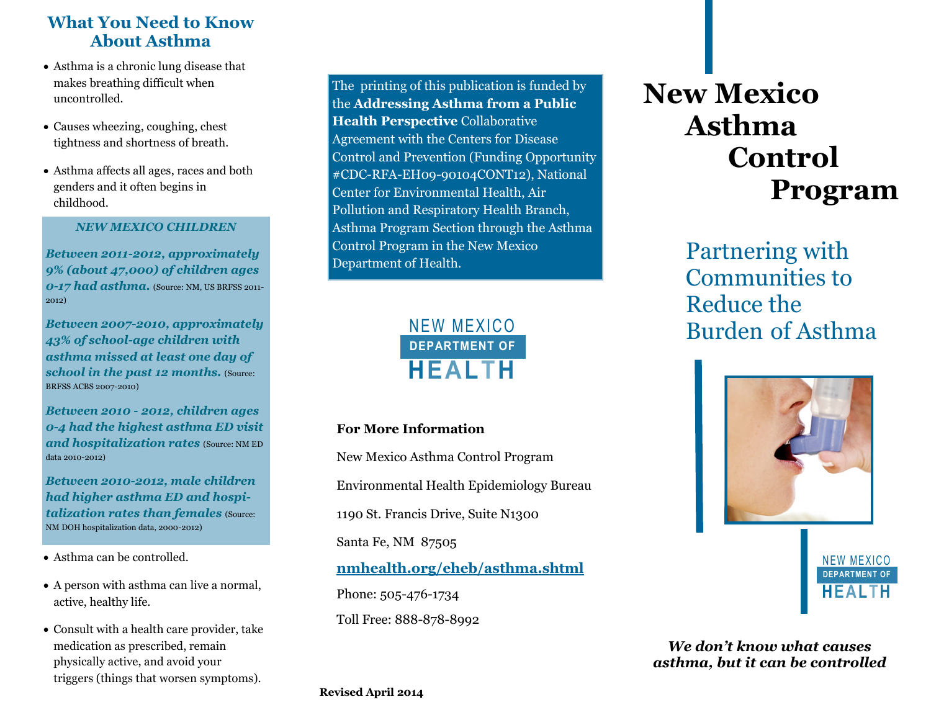# **What You Need to Know About Asthma**

- Asthma is a chronic lung disease that makes breathing difficult when uncontrolled.
- Causes wheezing, coughing, chest tightness and shortness of breath.
- Asthma affects all ages, races and both genders and it often begins in childhood.

### *NEW MEXICO CHILDREN*

*Between 2011-2012, approximately 9% (about 47,000) of children ages 0-17 had asthma.* (Source: NM, US BRFSS 2011-2012)

*Between 2007-2010, approximately 43% of school-age children with asthma missed at least one day of*  **school in the past 12 months.** (Source: BRFSS ACBS 2007-2010)

*Between 2010 - 2012, children ages 0-4 had the highest asthma ED visit and hospitalization rates* (Source: NM ED data 2010-2012)

*Between 2010-2012, male children had higher asthma ED and hospitalization rates than females (Source:* NM DOH hospitalization data, 2000-2012)

- Asthma can be controlled.
- A person with asthma can live a normal, active, healthy life.
- Consult with a health care provider, take medication as prescribed, remain physically active, and avoid your triggers (things that worsen symptoms).

The printing of this publication is funded by the **Addressing Asthma from a Public Health Perspective** Collaborative Agreement with the Centers for Disease Control and Prevention (Funding Opportunity #CDC-RFA-EH09-90104CONT12), National Center for Environmental Health, Air Pollution and Respiratory Health Branch, Asthma Program Section through the Asthma Control Program in the New Mexico Department of Health.



# **For More Information**

New Mexico Asthma Control Program Environmental Health Epidemiology Bureau 1190 St. Francis Drive, Suite N1300 Santa Fe, NM 87505 **[nmhealth.org/eheb/a](http://nmhealth.org/eheb/asthma.shtml)sthma.shtml** Phone: 505-476-1734 Toll Free: 888-878-8992

# **New Mexico Asthma Control Program**

Partnering with Communities to Reduce the Burden of Asthma





*We don't know what causes asthma, but it can be controlled*